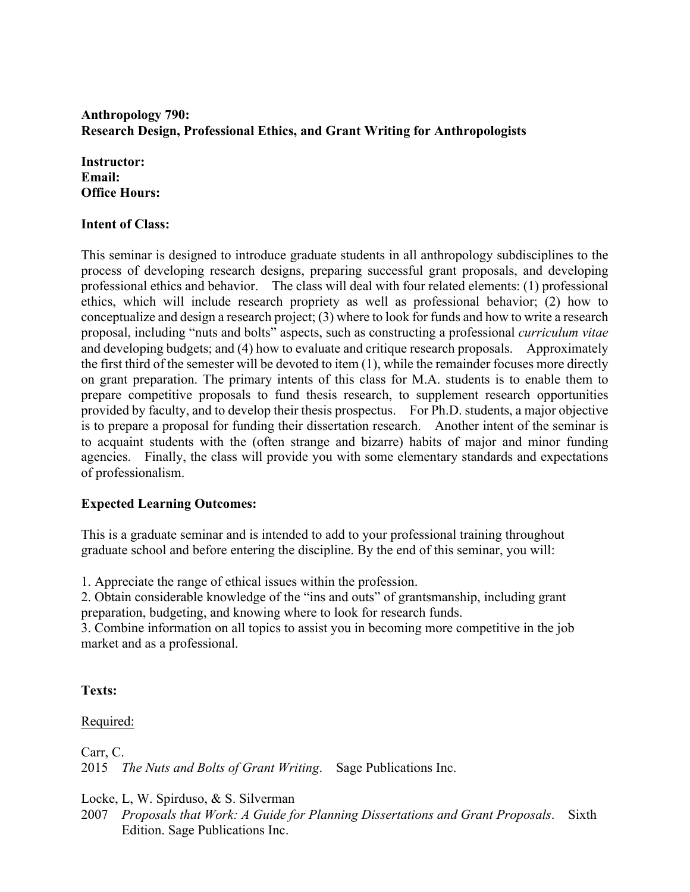# **Anthropology 790: Research Design, Professional Ethics, and Grant Writing for Anthropologists**

**Instructor: Email: Office Hours:** 

### **Intent of Class:**

This seminar is designed to introduce graduate students in all anthropology subdisciplines to the process of developing research designs, preparing successful grant proposals, and developing professional ethics and behavior. The class will deal with four related elements: (1) professional ethics, which will include research propriety as well as professional behavior; (2) how to conceptualize and design a research project; (3) where to look for funds and how to write a research proposal, including "nuts and bolts" aspects, such as constructing a professional *curriculum vitae* and developing budgets; and (4) how to evaluate and critique research proposals. Approximately the first third of the semester will be devoted to item (1), while the remainder focuses more directly on grant preparation. The primary intents of this class for M.A. students is to enable them to prepare competitive proposals to fund thesis research, to supplement research opportunities provided by faculty, and to develop their thesis prospectus. For Ph.D. students, a major objective is to prepare a proposal for funding their dissertation research. Another intent of the seminar is to acquaint students with the (often strange and bizarre) habits of major and minor funding agencies. Finally, the class will provide you with some elementary standards and expectations of professionalism.

## **Expected Learning Outcomes:**

This is a graduate seminar and is intended to add to your professional training throughout graduate school and before entering the discipline. By the end of this seminar, you will:

1. Appreciate the range of ethical issues within the profession.

2. Obtain considerable knowledge of the "ins and outs" of grantsmanship, including grant preparation, budgeting, and knowing where to look for research funds.

3. Combine information on all topics to assist you in becoming more competitive in the job market and as a professional.

## **Texts:**

Required:

Carr, C. 2015 *The Nuts and Bolts of Grant Writing*. Sage Publications Inc.

Locke, L, W. Spirduso, & S. Silverman

2007 *Proposals that Work: A Guide for Planning Dissertations and Grant Proposals*. Sixth Edition. Sage Publications Inc.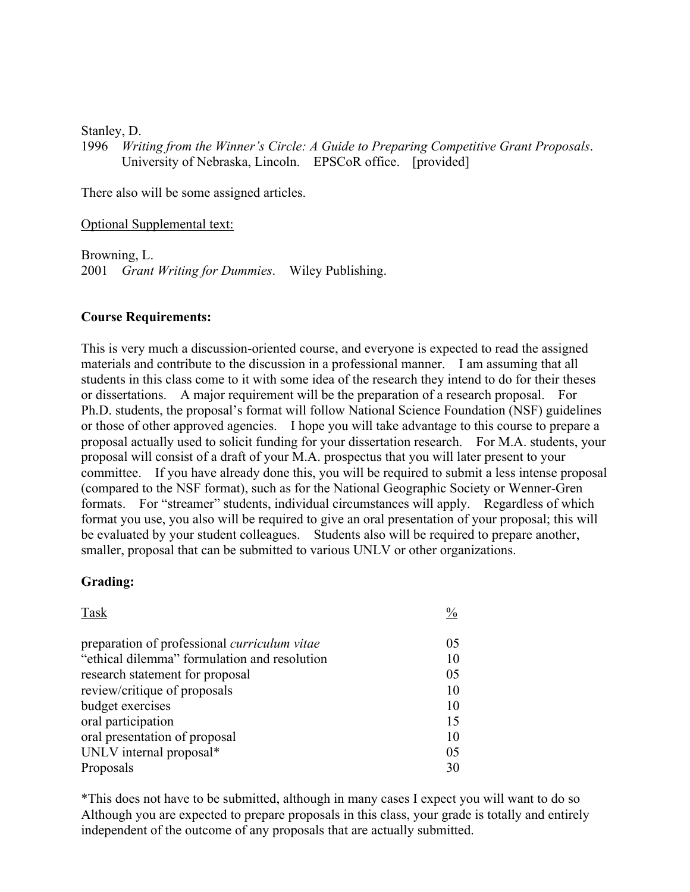Stanley, D.

1996 *Writing from the Winner's Circle: A Guide to Preparing Competitive Grant Proposals*. University of Nebraska, Lincoln. EPSCoR office. [provided]

There also will be some assigned articles.

Optional Supplemental text:

Browning, L. 2001 *Grant Writing for Dummies*. Wiley Publishing.

#### **Course Requirements:**

This is very much a discussion-oriented course, and everyone is expected to read the assigned materials and contribute to the discussion in a professional manner. I am assuming that all students in this class come to it with some idea of the research they intend to do for their theses or dissertations. A major requirement will be the preparation of a research proposal. For Ph.D. students, the proposal's format will follow National Science Foundation (NSF) guidelines or those of other approved agencies. I hope you will take advantage to this course to prepare a proposal actually used to solicit funding for your dissertation research. For M.A. students, your proposal will consist of a draft of your M.A. prospectus that you will later present to your committee. If you have already done this, you will be required to submit a less intense proposal (compared to the NSF format), such as for the National Geographic Society or Wenner-Gren formats. For "streamer" students, individual circumstances will apply. Regardless of which format you use, you also will be required to give an oral presentation of your proposal; this will be evaluated by your student colleagues. Students also will be required to prepare another, smaller, proposal that can be submitted to various UNLV or other organizations.

#### **Grading:**

| Task                                                | $\frac{0}{0}$  |
|-----------------------------------------------------|----------------|
| preparation of professional <i>curriculum</i> vitae | 0 <sub>5</sub> |
| "ethical dilemma" formulation and resolution        | 10             |
| research statement for proposal                     | 05             |
| review/critique of proposals                        | 10             |
| budget exercises                                    | 10             |
| oral participation                                  | 15             |
| oral presentation of proposal                       | 10             |
| UNLV internal proposal*                             | 05             |
| Proposals                                           | 30             |

\*This does not have to be submitted, although in many cases I expect you will want to do so Although you are expected to prepare proposals in this class, your grade is totally and entirely independent of the outcome of any proposals that are actually submitted.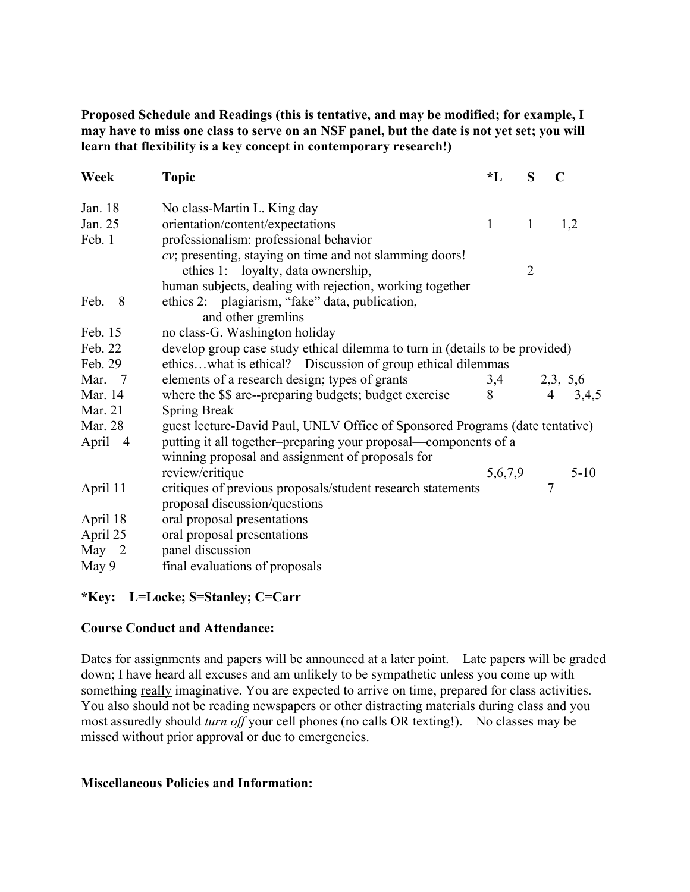**Proposed Schedule and Readings (this is tentative, and may be modified; for example, I may have to miss one class to serve on an NSF panel, but the date is not yet set; you will learn that flexibility is a key concept in contemporary research!)**

| Week      | <b>Topic</b>                                                                 | $\mathbf{L}$    | S              | $\mathbf C$    |  |
|-----------|------------------------------------------------------------------------------|-----------------|----------------|----------------|--|
| Jan. 18   | No class-Martin L. King day                                                  |                 |                |                |  |
| Jan. 25   | orientation/content/expectations                                             | $\mathbf{1}$    | $\mathbf{1}$   | 1,2            |  |
| Feb. 1    | professionalism: professional behavior                                       |                 |                |                |  |
|           | cv; presenting, staying on time and not slamming doors!                      |                 |                |                |  |
|           | ethics 1: loyalty, data ownership,                                           |                 | $\overline{2}$ |                |  |
|           | human subjects, dealing with rejection, working together                     |                 |                |                |  |
| Feb.<br>8 | ethics 2: plagiarism, "fake" data, publication,                              |                 |                |                |  |
|           | and other gremlins                                                           |                 |                |                |  |
| Feb. 15   | no class-G. Washington holiday                                               |                 |                |                |  |
| Feb. 22   | develop group case study ethical dilemma to turn in (details to be provided) |                 |                |                |  |
| Feb. 29   | ethicswhat is ethical? Discussion of group ethical dilemmas                  |                 |                |                |  |
| Mar. 7    | elements of a research design; types of grants                               |                 |                | 2,3, 5,6       |  |
| Mar. 14   | where the \$\$ are--preparing budgets; budget exercise                       | $\frac{3,4}{8}$ |                | $4\quad 3,4,5$ |  |
| Mar. 21   | <b>Spring Break</b>                                                          |                 |                |                |  |
| Mar. 28   | guest lecture-David Paul, UNLV Office of Sponsored Programs (date tentative) |                 |                |                |  |
| April 4   | putting it all together-preparing your proposal—components of a              |                 |                |                |  |
|           | winning proposal and assignment of proposals for                             |                 |                |                |  |
|           | review/critique                                                              | 5,6,7,9         |                | $5-10$         |  |
| April 11  | critiques of previous proposals/student research statements                  |                 |                | $\overline{7}$ |  |
|           | proposal discussion/questions                                                |                 |                |                |  |
| April 18  | oral proposal presentations                                                  |                 |                |                |  |
| April 25  | oral proposal presentations                                                  |                 |                |                |  |
| May $2$   | panel discussion                                                             |                 |                |                |  |
| May 9     | final evaluations of proposals                                               |                 |                |                |  |

## **\*Key: L=Locke; S=Stanley; C=Carr**

## **Course Conduct and Attendance:**

Dates for assignments and papers will be announced at a later point. Late papers will be graded down; I have heard all excuses and am unlikely to be sympathetic unless you come up with something really imaginative. You are expected to arrive on time, prepared for class activities. You also should not be reading newspapers or other distracting materials during class and you most assuredly should *turn off* your cell phones (no calls OR texting!). No classes may be missed without prior approval or due to emergencies.

#### **Miscellaneous Policies and Information:**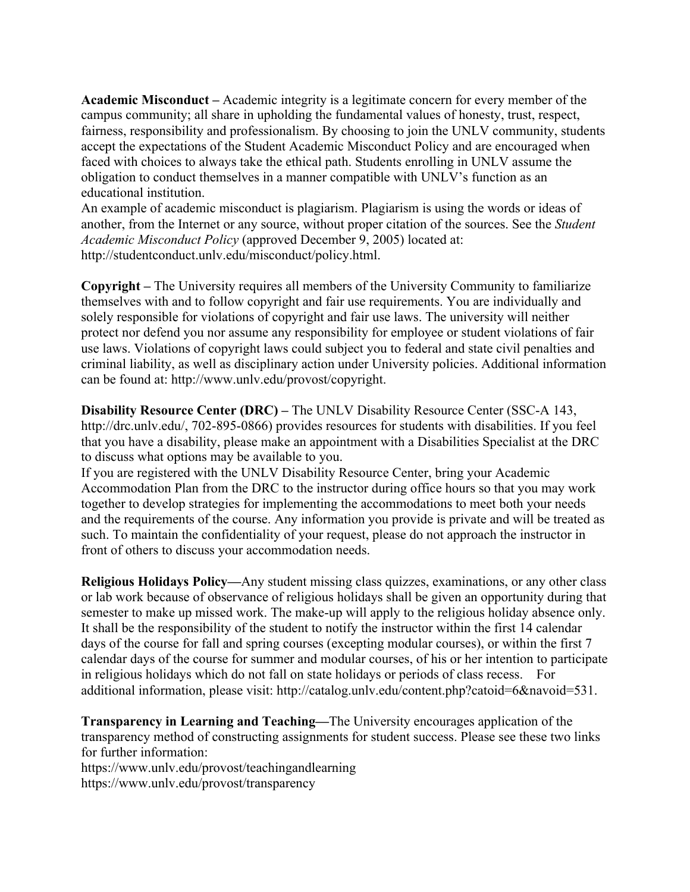**Academic Misconduct –** Academic integrity is a legitimate concern for every member of the campus community; all share in upholding the fundamental values of honesty, trust, respect, fairness, responsibility and professionalism. By choosing to join the UNLV community, students accept the expectations of the Student Academic Misconduct Policy and are encouraged when faced with choices to always take the ethical path. Students enrolling in UNLV assume the obligation to conduct themselves in a manner compatible with UNLV's function as an educational institution.

An example of academic misconduct is plagiarism. Plagiarism is using the words or ideas of another, from the Internet or any source, without proper citation of the sources. See the *Student Academic Misconduct Policy* (approved December 9, 2005) located at: http://studentconduct.unlv.edu/misconduct/policy.html.

**Copyright –** The University requires all members of the University Community to familiarize themselves with and to follow copyright and fair use requirements. You are individually and solely responsible for violations of copyright and fair use laws. The university will neither protect nor defend you nor assume any responsibility for employee or student violations of fair use laws. Violations of copyright laws could subject you to federal and state civil penalties and criminal liability, as well as disciplinary action under University policies. Additional information can be found at: http://www.unlv.edu/provost/copyright.

**Disability Resource Center (DRC) –** The UNLV Disability Resource Center (SSC-A 143, http://drc.unlv.edu/, 702-895-0866) provides resources for students with disabilities. If you feel that you have a disability, please make an appointment with a Disabilities Specialist at the DRC to discuss what options may be available to you.

If you are registered with the UNLV Disability Resource Center, bring your Academic Accommodation Plan from the DRC to the instructor during office hours so that you may work together to develop strategies for implementing the accommodations to meet both your needs and the requirements of the course. Any information you provide is private and will be treated as such. To maintain the confidentiality of your request, please do not approach the instructor in front of others to discuss your accommodation needs.

**Religious Holidays Policy—**Any student missing class quizzes, examinations, or any other class or lab work because of observance of religious holidays shall be given an opportunity during that semester to make up missed work. The make-up will apply to the religious holiday absence only. It shall be the responsibility of the student to notify the instructor within the first 14 calendar days of the course for fall and spring courses (excepting modular courses), or within the first 7 calendar days of the course for summer and modular courses, of his or her intention to participate in religious holidays which do not fall on state holidays or periods of class recess. For additional information, please visit: http://catalog.unlv.edu/content.php?catoid=6&navoid=531.

**Transparency in Learning and Teaching—**The University encourages application of the transparency method of constructing assignments for student success. Please see these two links for further information:

https://www.unlv.edu/provost/teachingandlearning https://www.unlv.edu/provost/transparency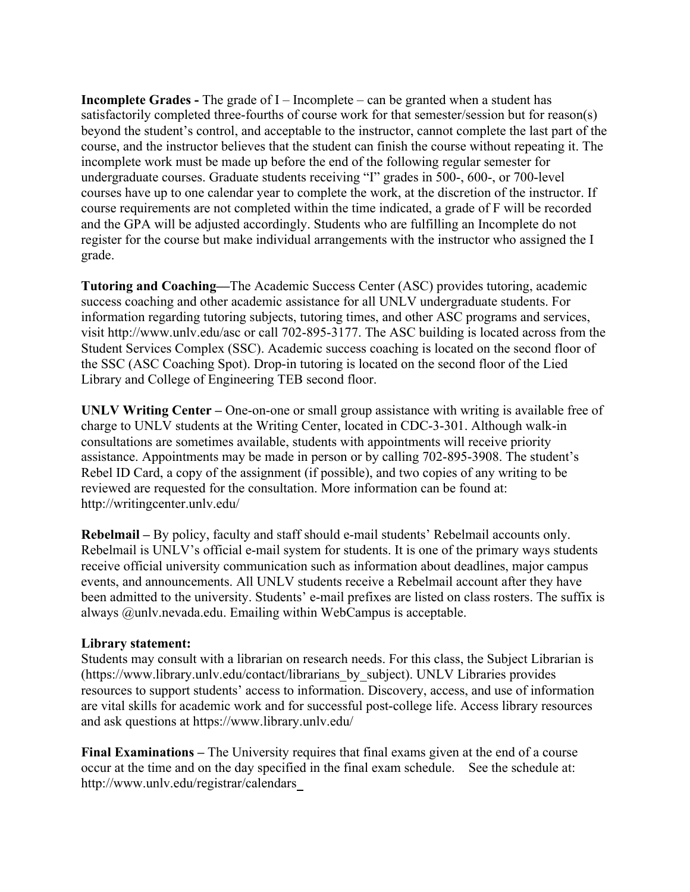**Incomplete Grades -** The grade of I – Incomplete – can be granted when a student has satisfactorily completed three-fourths of course work for that semester/session but for reason(s) beyond the student's control, and acceptable to the instructor, cannot complete the last part of the course, and the instructor believes that the student can finish the course without repeating it. The incomplete work must be made up before the end of the following regular semester for undergraduate courses. Graduate students receiving "I" grades in 500-, 600-, or 700-level courses have up to one calendar year to complete the work, at the discretion of the instructor. If course requirements are not completed within the time indicated, a grade of F will be recorded and the GPA will be adjusted accordingly. Students who are fulfilling an Incomplete do not register for the course but make individual arrangements with the instructor who assigned the I grade.

**Tutoring and Coaching—**The Academic Success Center (ASC) provides tutoring, academic success coaching and other academic assistance for all UNLV undergraduate students. For information regarding tutoring subjects, tutoring times, and other ASC programs and services, visit http://www.unlv.edu/asc or call 702-895-3177. The ASC building is located across from the Student Services Complex (SSC). Academic success coaching is located on the second floor of the SSC (ASC Coaching Spot). Drop-in tutoring is located on the second floor of the Lied Library and College of Engineering TEB second floor.

**UNLV Writing Center –** One-on-one or small group assistance with writing is available free of charge to UNLV students at the Writing Center, located in CDC-3-301. Although walk-in consultations are sometimes available, students with appointments will receive priority assistance. Appointments may be made in person or by calling 702-895-3908. The student's Rebel ID Card, a copy of the assignment (if possible), and two copies of any writing to be reviewed are requested for the consultation. More information can be found at: http://writingcenter.unlv.edu/

**Rebelmail –** By policy, faculty and staff should e-mail students' Rebelmail accounts only. Rebelmail is UNLV's official e-mail system for students. It is one of the primary ways students receive official university communication such as information about deadlines, major campus events, and announcements. All UNLV students receive a Rebelmail account after they have been admitted to the university. Students' e-mail prefixes are listed on class rosters. The suffix is always @unlv.nevada.edu. Emailing within WebCampus is acceptable.

#### **Library statement:**

Students may consult with a librarian on research needs. For this class, the Subject Librarian is (https://www.library.unlv.edu/contact/librarians\_by\_subject). UNLV Libraries provides resources to support students' access to information. Discovery, access, and use of information are vital skills for academic work and for successful post-college life. Access library resources and ask questions at https://www.library.unlv.edu/

**Final Examinations –** The University requires that final exams given at the end of a course occur at the time and on the day specified in the final exam schedule. See the schedule at: http://www.unlv.edu/registrar/calendars